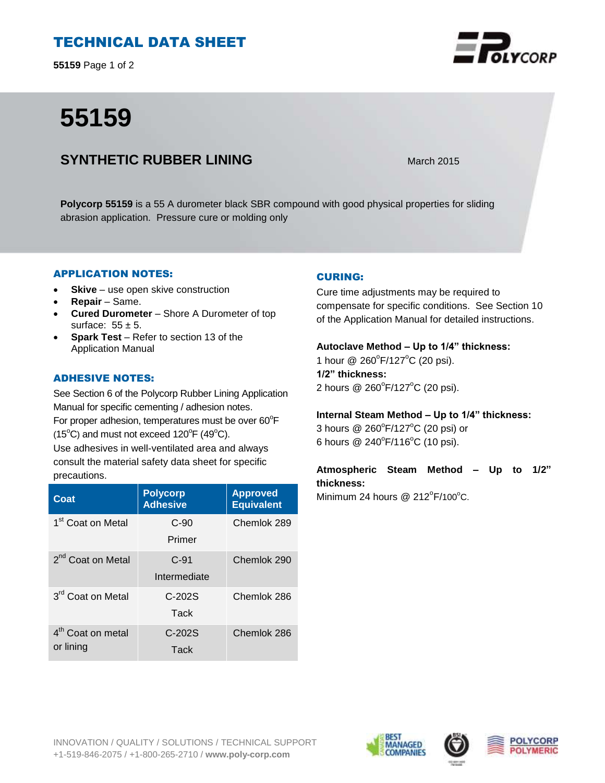## TECHNICAL DATA SHEET

**55159** Page 1 of 2

# **55159**

# **SYNTHETIC RUBBER LINING** March 2015

**Polycorp 55159** is a 55 A durometer black SBR compound with good physical properties for sliding abrasion application. Pressure cure or molding only

#### APPLICATION NOTES:

- **Skive** use open skive construction
- **Repair**  Same.
- **Cured Durometer**  Shore A Durometer of top surface:  $55 \pm 5$ .
- **Spark Test**  Refer to section 13 of the Application Manual

#### ADHESIVE NOTES:

See Section 6 of the Polycorp Rubber Lining Application Manual for specific cementing / adhesion notes. For proper adhesion, temperatures must be over  $60^{\circ}$ F  $(15^{\circ}C)$  and must not exceed  $120^{\circ}F(49^{\circ}C)$ .

Use adhesives in well-ventilated area and always consult the material safety data sheet for specific precautions.

| Coat                                       | <b>Polycorp</b><br><b>Adhesive</b> | <b>Approved</b><br><b>Equivalent</b> |
|--------------------------------------------|------------------------------------|--------------------------------------|
| 1 <sup>st</sup> Coat on Metal              | $C-90$<br>Primer                   | Chemlok 289                          |
| 2 <sup>nd</sup> Coat on Metal              | $C-91$<br>Intermediate             | Chemlok 290                          |
| 3 <sup>rd</sup> Coat on Metal              | $C-202S$<br>Tack                   | Chemlok 286                          |
| 4 <sup>th</sup> Coat on metal<br>or lining | $C-202S$<br>Tack                   | Chemlok 286                          |

#### CURING:

Cure time adjustments may be required to compensate for specific conditions. See Section 10 of the Application Manual for detailed instructions.

#### **Autoclave Method – Up to 1/4" thickness:**

1 hour @ 260°F/127°C (20 psi). **1/2" thickness:** 2 hours @ 260°F/127°C (20 psi).

**Internal Steam Method – Up to 1/4" thickness:**

3 hours  $@$  260 $^{\circ}$ F/127 $^{\circ}$ C (20 psi) or 6 hours  $@ 240^{\circ}F/116^{\circ}C$  (10 psi).

#### **Atmospheric Steam Method – Up to 1/2" thickness:**

Minimum 24 hours  $@$  212 $^{\circ}$ F/100 $^{\circ}$ C.